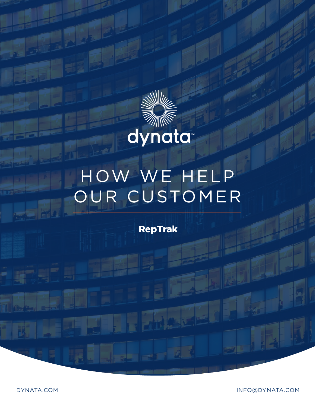

# HOW WE HELP OUR CUSTOMER

RepTrak

DYNATA.COM INFO@DYNATA.COM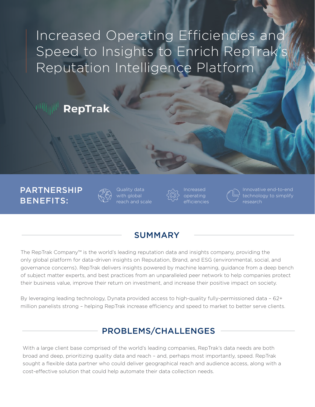Increased Operating Efficiencies and Speed to Insights to Enrich RepTrak's Reputation Intelligence Platform

## RepTrak

## PARTNERSHIP BENEFITS:



Quality data with global ch and scale



Increased operating efficiencies



technology to simplify research

## SUMMARY

The RepTrak Company™ is the world's leading reputation data and insights company, providing the only global platform for data-driven insights on Reputation, Brand, and ESG (environmental, social, and governance concerns). RepTrak delivers insights powered by machine learning, guidance from a deep bench of subject matter experts, and best practices from an unparalleled peer network to help companies protect their business value, improve their return on investment, and increase their positive impact on society.

By leveraging leading technology, Dynata provided access to high-quality fully-permissioned data – 62+ million panelists strong – helping RepTrak increase efficiency and speed to market to better serve clients.

## PROBLEMS/CHALLENGES

With a large client base comprised of the world's leading companies, RepTrak's data needs are both broad and deep, prioritizing quality data and reach – and, perhaps most importantly, speed. RepTrak sought a flexible data partner who could deliver geographical reach and audience access, along with a cost-effective solution that could help automate their data collection needs.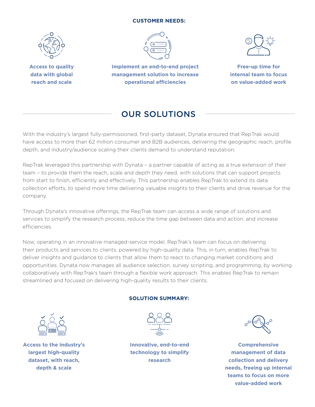#### **CUSTOMER NEEDS:**



**Access to quality data with global reach and scale**



**Implement an end-to-end project management solution to increase operational efficiencies**



**Free-up time for internal team to focus on value-added work**

## OUR SOLUTIONS

With the industry's largest fully-permissioned, first-party dataset, Dynata ensured that RepTrak would have access to more than 62 million consumer and B2B audiences, delivering the geographic reach, profile depth, and industry/audience scaling their clients demand to understand reputation.

RepTrak leveraged this partnership with Dynata – a partner capable of acting as a true extension of their team – to provide them the reach, scale and depth they need, with solutions that can support projects from start to finish, efficiently and effectively. This partnership enables RepTrak to extend its data collection efforts, to spend more time delivering valuable insights to their clients and drive revenue for the company.

Through Dynata's innovative offerings, the RepTrak team can access a wide range of solutions and services to simplify the research process, reduce the time gap between data and action, and increase efficiencies.

Now, operating in an innovative managed-service model, RepTrak's team can focus on delivering their products and services to clients, powered by high-quality data. This, in turn, enables RepTrak to deliver insights and guidance to clients that allow them to react to changing market conditions and opportunities. Dynata now manages all audience selection, survey scripting, and programming, by working collaboratively with RepTrak's team through a flexible work approach. This enables RepTrak to remain streamlined and focused on delivering high-quality results to their clients.

#### **SOLUTION SUMMARY:**



**Access to the industry's largest high-quality dataset, with reach, depth & scale** 



**Innovative, end-to-end technology to simplify research**



**Comprehensive management of data collection and delivery needs, freeing up internal teams to focus on more value-added work**